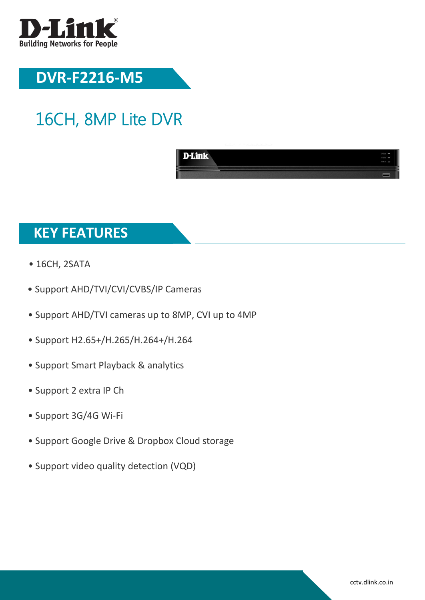

## **DVR-F2216-M5**

# 16CH, 8MP Lite DVR



#### **KEY FEATURES**

- 16CH, 2SATA
- Support AHD/TVI/CVI/CVBS/IP Cameras
- Support AHD/TVI cameras up to 8MP, CVI up to 4MP
- Support H2.65+/H.265/H.264+/H.264
- Support Smart Playback & analytics
- Support 2 extra IP Ch
- Support 3G/4G Wi-Fi
- Support Google Drive & Dropbox Cloud storage
- Support video quality detection (VQD)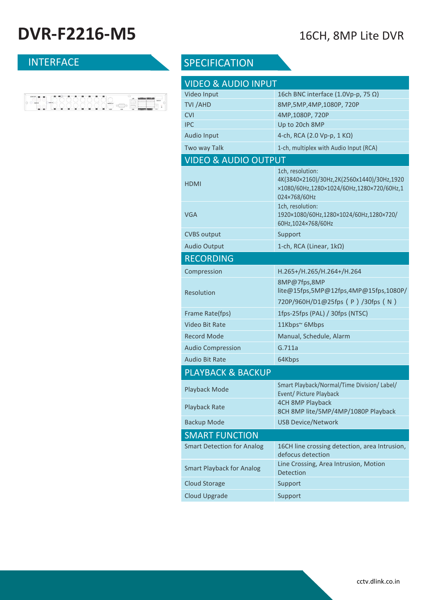## **DVR-F2216-M5** 16CH, 8MP Lite DVR

| <b>INIERFACE</b> |  |
|------------------|--|
|                  |  |
|                  |  |
|                  |  |



#### SPECIFICATION

| <b>VIDEO &amp; AUDIO INPUT</b>    |                                                                                                                             |  |  |  |  |
|-----------------------------------|-----------------------------------------------------------------------------------------------------------------------------|--|--|--|--|
| Video Input                       | 16ch BNC interface (1.0Vp-p, 75 $\Omega$ )                                                                                  |  |  |  |  |
| TVI / AHD                         | 8MP, 5MP, 4MP, 1080P, 720P                                                                                                  |  |  |  |  |
| <b>CVI</b>                        | 4MP, 1080P, 720P                                                                                                            |  |  |  |  |
| <b>IPC</b>                        | Up to 20ch 8MP                                                                                                              |  |  |  |  |
| <b>Audio Input</b>                | 4-ch, RCA (2.0 Vp-p, 1 KΩ)                                                                                                  |  |  |  |  |
| Two way Talk                      | 1-ch, multiplex with Audio Input (RCA)                                                                                      |  |  |  |  |
| <b>VIDEO &amp; AUDIO OUTPUT</b>   |                                                                                                                             |  |  |  |  |
| HDMI                              | 1ch, resolution:<br>4K(3840×2160)/30Hz,2K(2560x1440)/30Hz,1920<br>×1080/60Hz,1280×1024/60Hz,1280×720/60Hz,1<br>024×768/60Hz |  |  |  |  |
| VGA                               | 1ch, resolution:<br>1920×1080/60Hz,1280×1024/60Hz,1280×720/<br>60Hz, 1024×768/60Hz                                          |  |  |  |  |
| <b>CVBS output</b>                | Support                                                                                                                     |  |  |  |  |
| <b>Audio Output</b>               | 1-ch, RCA (Linear, 1kΩ)                                                                                                     |  |  |  |  |
| <b>RECORDING</b>                  |                                                                                                                             |  |  |  |  |
| Compression                       | H.265+/H.265/H.264+/H.264                                                                                                   |  |  |  |  |
| <b>Resolution</b>                 | 8MP@7fps,8MP<br>lite@15fps,5MP@12fps,4MP@15fps,1080P/<br>720P/960H/D1@25fps (P)/30fps (N)                                   |  |  |  |  |
| Frame Rate(fps)                   | 1fps-25fps (PAL) / 30fps (NTSC)                                                                                             |  |  |  |  |
| <b>Video Bit Rate</b>             | 11Kbps~ 6Mbps                                                                                                               |  |  |  |  |
| <b>Record Mode</b>                | Manual, Schedule, Alarm                                                                                                     |  |  |  |  |
| <b>Audio Compression</b>          | G.711a                                                                                                                      |  |  |  |  |
| <b>Audio Bit Rate</b>             | 64Kbps                                                                                                                      |  |  |  |  |
| <b>PLAYBACK &amp; BACKUP</b>      |                                                                                                                             |  |  |  |  |
| Playback Mode                     | Smart Playback/Normal/Time Division/ Label/<br>Event/ Picture Playback                                                      |  |  |  |  |
| Playback Rate                     | 4CH 8MP Playback<br>8CH 8MP lite/5MP/4MP/1080P Playback                                                                     |  |  |  |  |
| <b>Backup Mode</b>                | <b>USB Device/Network</b>                                                                                                   |  |  |  |  |
| <b>SMART FUNCTION</b>             |                                                                                                                             |  |  |  |  |
| <b>Smart Detection for Analog</b> | 16CH line crossing detection, area Intrusion,<br>defocus detection                                                          |  |  |  |  |
| <b>Smart Playback for Analog</b>  | Line Crossing, Area Intrusion, Motion<br><b>Detection</b>                                                                   |  |  |  |  |
| <b>Cloud Storage</b>              | Support                                                                                                                     |  |  |  |  |
| <b>Cloud Upgrade</b>              | Support                                                                                                                     |  |  |  |  |